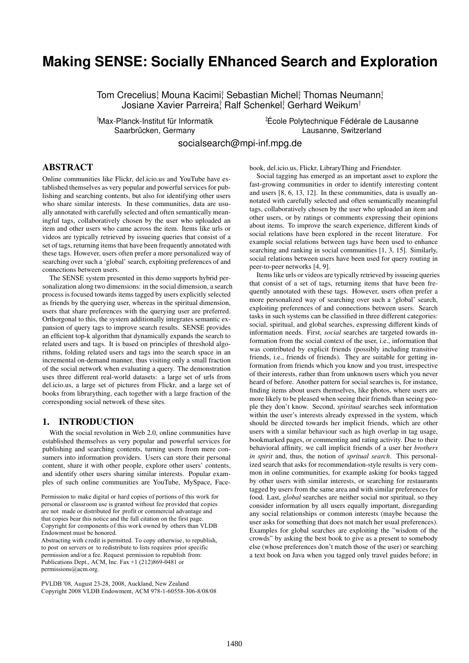# **Making SENSE: Socially ENhanced Search and Exploration**

Tom Crecelius; Mouna Kacimi; Sebastian Michel; Thomas Neumann; Josiane Xavier Parreira; Ralf Schenkel; Gerhard Weikum†

<sup>†</sup>Max-Planck-Institut für Informatik

 ${}$ #École Polytechnique Fédérale de Lausanne Saarbrücken, Germany in deutscher Eine aussie Lausanne, Switzerland

socialsearch@mpi-inf.mpg.de

## ABSTRACT

Online communities like Flickr, del.icio.us and YouTube have established themselves as very popular and powerful services for publishing and searching contents, but also for identifying other users who share similar interests. In these communities, data are usually annotated with carefully selected and often semantically meaningful tags, collaboratively chosen by the user who uploaded an item and other users who came across the item. Items like urls or videos are typically retrieved by issueing queries that consist of a set of tags, returning items that have been frequently annotated with these tags. However, users often prefer a more personalized way of searching over such a 'global' search, exploiting preferences of and connections between users.

The SENSE system presented in this demo supports hybrid personalization along two dimensions: in the social dimension, a search process is focused towards items tagged by users explicitly selected as friends by the querying user, whereas in the spiritual dimension, users that share preferences with the querying user are preferred. Orthorgonal to this, the system additionally integrates semantic expansion of query tags to improve search results. SENSE provides an efficient top-k algorithm that dynamically expands the search to related users and tags. It is based on principles of threshold algorithms, folding related users and tags into the search space in an incremental on-demand manner, thus visiting only a small fraction of the social network when evaluating a query. The demonstration uses three different real-world datasets: a large set of urls from del.icio.us, a large set of pictures from Flickr, and a large set of books from librarything, each together with a large fraction of the corresponding social network of these sites.

#### 1. INTRODUCTION

With the social revolution in Web 2.0, online communities have established themselves as very popular and powerful services for publishing and searching contents, turning users from mere consumers into information providers. Users can store their personal content, share it with other people, explore other users' contents, and identify other users sharing similar interests. Popular examples of such online communities are YouTube, MySpace, Face-

are not made or distributed for profit or commercial advantage and that the copies are not made or distributed for direct commercial advantage, that copies bear this notice and the full citation on the first page. that copies ocal this houte and the full chatton of the first page.<br>Convicted for components of this work owned by others than  $\overline{M}$  DD Copyright for components of this work owned by others than VLDB<br>Endowment must be benezed Permission to make digital or hard copies of portions of this work for personal or classroom use is granted without fee provided that copies Endowment must be honored.

Endowment must be honored.<br>Abstracting with credit is permitted. To copy otherwise, to republish, Abstracting with credit is permitted. To copy otherwise, to republish,<br>to post on servers or to redistribute to lists requires prior specific published, AC permission and/or a fee. Request permission to republish from: Publications Dept., ACM, Inc. Fax  $+1$  (212)869-0481 or permissions@acm.org.

PVLDB '08, August 23-28, 2008, Auckland, New Zealand Copyright 2008 VLDB Endowment, ACM 978-1-60558-306-8/08/08 book, del.icio.us, Flickr, LibraryThing and Friendster.

Social tagging has emerged as an important asset to explore the fast-growing communities in order to identify interesting content and users [8, 6, 13, 12]. In these communities, data is usually annotated with carefully selected and often semantically meaningful tags, collaboratively chosen by the user who uploaded an item and other users, or by ratings or comments expressing their opinions about items. To improve the search experience, different kinds of social relations have been explored in the recent literature. For example social relations between tags have been used to enhance searching and ranking in social communities [1, 3, 15]. Similarly, social relations between users have been used for query routing in peer-to-peer networks [4, 9].

Items like urls or videos are typically retrieved by issueing queries that consist of a set of tags, returning items that have been frequently annotated with these tags. However, users often prefer a more personalized way of searching over such a 'global' search, exploiting preferences of and connections between users. Search tasks in such systems can be classified in three different categories: social, spiritual, and global searches, expressing different kinds of information needs. First, *social* searches are targeted towards information from the social context of the user, i.e., information that was contributed by explicit friends (possibly including transitive friends, i.e., friends of friends). They are suitable for getting information from friends which you know and you trust, irrespective of their interests, rather than from unknown users which you never heard of before. Another pattern for social searches is, for instance, finding items about users themselves, like photos, where users are more likely to be pleased when seeing their friends than seeing people they don't know. Second, *spiritual* searches seek information within the user's interests already expressed in the system, which should be directed towards her implicit friends, which are other users with a similar behaviour such as high overlap in tag usage, bookmarked pages, or commenting and rating activity. Due to their behavioral affinity, we call implicit friends of a user her *brothers in spirit* and, thus, the notion of *spritual search*. This personalized search that asks for recommendation-style results is very common in online communities, for example asking for books tagged by other users with similar interests, or searching for restaurants tagged by users from the same area and with similar preferences for food. Last, *global* searches are neither social nor spiritual, so they consider information by all users equally important, disregarding any social relationships or common interests (maybe because the user asks for something that does not match her usual preferences). Examples for global searches are exploiting the "wisdom of the crowds" by asking the best book to give as a present to somebody else (whose preferences don't match those of the user) or searching a text book on Java when you tagged only travel guides before; in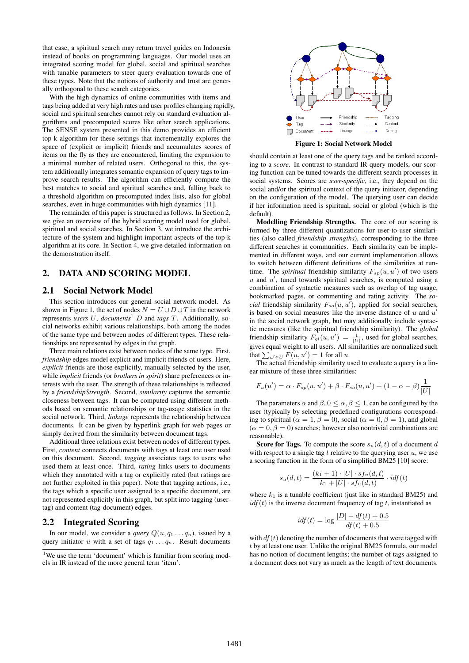that case, a spiritual search may return travel guides on Indonesia instead of books on programming languages. Our model uses an integrated scoring model for global, social and spiritual searches with tunable parameters to steer query evaluation towards one of these types. Note that the notions of authority and trust are generally orthogonal to these search categories.

With the high dynamics of online communities with items and tags being added at very high rates and user profiles changing rapidly, social and spiritual searches cannot rely on standard evaluation algorithms and precomputed scores like other search applications. The SENSE system presented in this demo provides an efficient top-k algorithm for these settings that incrementally explores the space of (explicit or implicit) friends and accumulates scores of items on the fly as they are encountered, limiting the expansion to a minimal number of related users. Orthogonal to this, the system additionally integrates semantic expansion of query tags to improve search results. The algorithm can efficiently compute the best matches to social and spiritual searches and, falling back to a threshold algorithm on precomputed index lists, also for global searches, even in huge communities with high dynamics [11].

The remainder of this paper is structured as follows. In Section 2, we give an overview of the hybrid scoring model used for global, spiritual and social searches. In Section 3, we introduce the architecture of the system and highlight important aspects of the top-k algorithm at its core. In Section 4, we give detailed information on the demonstration itself.

# 2. DATA AND SCORING MODEL

#### 2.1 Social Network Model

This section introduces our general social network model. As shown in Figure 1, the set of nodes  $N = U \cup D \cup T$  in the network represents *users* U, *documents*<sup>1</sup> D and *tags* T. Additionally, social networks exhibit various relationships, both among the nodes of the same type and between nodes of different types. These relationships are represented by edges in the graph.

Three main relations exist between nodes of the same type. First, *friendship* edges model explicit and implicit friends of users. Here, *explicit* friends are those explicitly, manually selected by the user, while *implicit* friends (or *brothers in spirit*) share preferences or interests with the user. The strength of these relationships is reflected by a *friendshipStrength*. Second, *similarity* captures the semantic closeness between tags. It can be computed using different methods based on semantic relationships or tag-usage statistics in the social network. Third, *linkage* represents the relationship between documents. It can be given by hyperlink graph for web pages or simply derived from the similarity between document tags.

Additional three relations exist between nodes of different types. First, *content* connects documents with tags at least one user used on this document. Second, *tagging* associates tags to users who used them at least once. Third, *rating* links users to documents which they annotated with a tag or explicitly rated (but ratings are not further exploited in this paper). Note that tagging actions, i.e., the tags which a specific user assigned to a specific document, are not represented explicitly in this graph, but split into tagging (usertag) and content (tag-document) edges.

#### 2.2 Integrated Scoring

In our model, we consider a *query*  $Q(u, q_1 \ldots q_n)$ , issued by a query initiator u with a set of tags  $q_1 \ldots q_n$ . Result documents



Figure 1: Social Network Model

should contain at least one of the query tags and be ranked according to a *score*. In contrast to standard IR query models, our scoring function can be tuned towards the different search processes in social systems. Scores are *user-specific*, i.e., they depend on the social and/or the spiritual context of the query initiator, depending on the configuration of the model. The querying user can decide if her information need is spiritual, social or global (which is the default).

Modelling Friendship Strengths. The core of our scoring is formed by three different quantizations for user-to-user similarities (also called *friendship strengths*), corresponding to the three different searches in communities. Each similarity can be implemented in different ways, and our current implementation allows to switch between different definitions of the similarities at runtime. The *spiritual* friendship similarity  $F_{sp}(u, u')$  of two users  $u$  and  $u'$ , tuned towards spiritual searches, is computed using a combination of syntactic measures such as overlap of tag usage, bookmarked pages, or commenting and rating activity. The *social* friendship similarity  $F_{so}(u, u')$ , applied for social searches, is based on social measures like the inverse distance of  $u$  and  $u'$ in the social network graph, but may additionally include syntactic measures (like the spiritual friendship similarity). The *global* friendship similarity  $F_{gl}(u, u') = \frac{1}{|U|}$ , used for global searches, gives equal weight to all users. All similarities are normalized such that  $\sum_{u' \in U} F(u, u') = 1$  for all u.

The actual friendship similarity used to evaluate a query is a linear mixture of these three similarities:

$$
F_u(u') = \alpha \cdot F_{sp}(u, u') + \beta \cdot F_{so}(u, u') + (1 - \alpha - \beta) \frac{1}{|U|}
$$

The parameters  $\alpha$  and  $\beta$ ,  $0 \leq \alpha$ ,  $\beta \leq 1$ , can be configured by the user (typically by selecting predefined configurations corresponding to spiritual ( $\alpha = 1, \beta = 0$ ), social ( $\alpha = 0, \beta = 1$ ), and global  $(\alpha = 0, \beta = 0)$  searches; however also nontrivial combinations are reasonable).

Score for Tags. To compute the score  $s_u(d, t)$  of a document d with respect to a single tag t relative to the querying user  $u$ , we use a scoring function in the form of a simplified BM25 [10] score:

$$
s_u(d,t) = \frac{(k_1+1) \cdot |U| \cdot s f_u(d,t)}{k_1 + |U| \cdot s f_u(d,t)} \cdot idf(t)
$$

where  $k_1$  is a tunable coefficient (just like in standard BM25) and  $idf(t)$  is the inverse document frequency of tag t, instantiated as

$$
idf(t) = \log \frac{|D| - df(t) + 0.5}{df(t) + 0.5}
$$

with  $df(t)$  denoting the number of documents that were tagged with t by at least one user. Unlike the original BM25 formula, our model has no notion of document lengths; the number of tags assigned to a document does not vary as much as the length of text documents.

<sup>&</sup>lt;sup>1</sup>We use the term 'document' which is familiar from scoring models in IR instead of the more general term 'item'.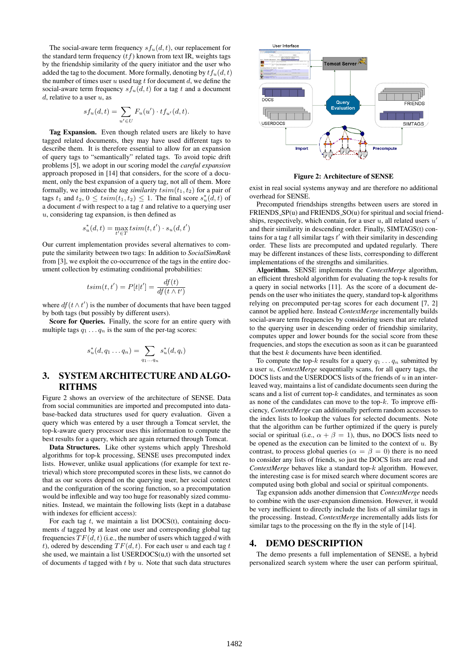The social-aware term frequency  $s f_u(d, t)$ , our replacement for the standard term frequency  $(tf)$  known from text IR, weights tags by the friendship similarity of the query initiator and the user who added the tag to the document. More formally, denoting by  $tf_u(d, t)$ the number of times user  $u$  used tag  $t$  for document  $d$ , we define the social-aware term frequency  $s f_u(d, t)$  for a tag t and a document  $d$ , relative to a user  $u$ , as

$$
sf_u(d,t) = \sum_{u' \in U} F_u(u') \cdot tf_{u'}(d,t).
$$

Tag Expansion. Even though related users are likely to have tagged related documents, they may have used different tags to describe them. It is therefore essential to allow for an expansion of query tags to "semantically" related tags. To avoid topic drift problems [5], we adopt in our scoring model the *careful expansion* approach proposed in [14] that considers, for the score of a document, only the best expansion of a query tag, not all of them. More formally, we introduce the *tag similarity*  $t \sin(t_1, t_2)$  for a pair of tags  $t_1$  and  $t_2$ ,  $0 \leq t \, \text{sim}(t_1, t_2) \leq 1$ . The final score  $s_u^*(d, t)$  of a document  $d$  with respect to a tag  $t$  and relative to a querying user  $u$ , considering tag expansion, is then defined as

$$
s_u^*(d, t) = \max_{t' \in T} t \operatorname{sim}(t, t') \cdot s_u(d, t')
$$

Our current implementation provides several alternatives to compute the similarity between two tags: In addition to *SocialSimRank* from [3], we exploit the co-occurrence of the tags in the entire document collection by estimating conditional probabilities:

$$
t\text{sim}(t, t') = P[t|t'] = \frac{df(t)}{df(t \wedge t')}
$$

where  $df(t \wedge t')$  is the number of documents that have been tagged by both tags (but possibly by different users).

Score for Queries. Finally, the score for an entire query with multiple tags  $q_1 \ldots q_n$  is the sum of the per-tag scores:

$$
s_u^*(d,q_1\ldots q_n)=\sum_{q_1\ldots q_n} s_u^*(d,q_i)
$$

## 3. SYSTEM ARCHITECTURE AND ALGO-RITHMS

Figure 2 shows an overview of the architecture of SENSE. Data from social communities are imported and precomputed into database-backed data structures used for query evaluation. Given a query which was entered by a user through a Tomcat servlet, the top-k-aware query processor uses this information to compute the best results for a query, which are again returned through Tomcat.

Data Structures. Like other systems which apply Threshold algorithms for top-k processing, SENSE uses precomputed index lists. However, unlike usual applications (for example for text retrieval) which store precomputed scores in these lists, we cannot do that as our scores depend on the querying user, her social context and the configuration of the scoring function, so a precomputation would be inflexible and way too huge for reasonably sized communities. Instead, we maintain the following lists (kept in a database with indexes for efficient access):

For each tag  $t$ , we maintain a list DOCS(t), containing documents d tagged by at least one user and corresponding global tag frequencies  $TF(d, t)$  (i.e., the number of users which tagged d with t), odered by descending  $TF(d, t)$ . For each user u and each tag t she used, we maintain a list USERDOCS(u,t) with the unsorted set of documents  $d$  tagged with  $t$  by  $u$ . Note that such data structures



Figure 2: Architecture of SENSE

exist in real social systems anyway and are therefore no additional overhead for SENSE.

Precomputed friendships strengths between users are stored in FRIENDS\_SP(u) and FRIENDS\_SO(u) for spiritual and social friendships, respectively, which contain, for a user  $u$ , all related users  $u'$ and their similarity in descending order. Finally, SIMTAGS(t) contains for a tag  $t$  all similar tags  $t'$  with their similarity in descending order. These lists are precomputed and updated regularly. There may be different instances of these lists, corresponding to different implementations of the strengths and similarities.

Algorithm. SENSE implements the *ContextMerge* algorithm, an efficient threshold algorithm for evaluating the top-k results for a query in social networks [11]. As the score of a document depends on the user who initiates the query, standard top-k algorithms relying on precomputed per-tag scores for each document [7, 2] cannot be applied here. Instead *ContextMerge* incrementally builds social-aware term frequencies by considering users that are related to the querying user in descending order of friendship similarity, computes upper and lower bounds for the social score from these frequencies, and stops the execution as soon as it can be guaranteed that the best  $k$  documents have been identified.

To compute the top-k results for a query  $q_1 \ldots q_n$  submitted by a user u, *ContextMerge* sequentially scans, for all query tags, the DOCS lists and the USERDOCS lists of the friends of  $u$  in an interleaved way, maintains a list of candidate documents seen during the scans and a list of current top- $k$  candidates, and terminates as soon as none of the candidates can move to the top- $k$ . To improve efficiency, *ContextMerge* can additionally perform random accesses to the index lists to lookup the values for selected documents. Note that the algorithm can be further optimized if the query is purely social or spiritual (i.e.,  $\alpha + \beta = 1$ ), thus, no DOCS lists need to be opened as the execution can be limited to the context of  $u$ . By contrast, to process global queries ( $\alpha = \beta = 0$ ) there is no need to consider any lists of friends, so just the DOCS lists are read and *ContextMerge* behaves like a standard top-k algorithm. However, the interesting case is for mixed search where document scores are computed using both global and social or spiritual components.

Tag expansion adds another dimension that *ContextMerge* needs to combine with the user-expansion dimension. However, it would be very inefficient to directly include the lists of all similar tags in the processing. Instead, *ContextMerge* incrementally adds lists for similar tags to the processing on the fly in the style of [14].

#### 4. DEMO DESCRIPTION

The demo presents a full implementation of SENSE, a hybrid personalized search system where the user can perform spiritual,